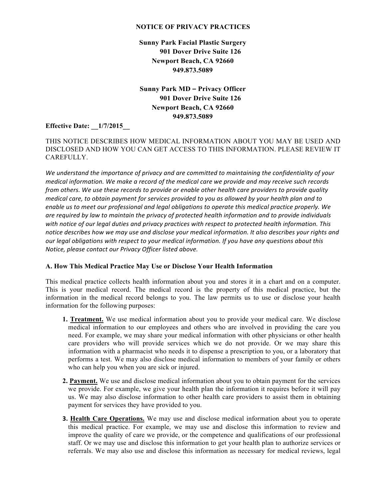#### **NOTICE OF PRIVACY PRACTICES**

**Sunny Park Facial Plastic Surgery 901 Dover Drive Suite 126 Newport Beach, CA 92660 949.873.5089**

**Sunny Park MD – Privacy Officer 901 Dover Drive Suite 126 Newport Beach, CA 92660 949.873.5089**

**Effective Date: \_\_1/7/2015\_\_**

## THIS NOTICE DESCRIBES HOW MEDICAL INFORMATION ABOUT YOU MAY BE USED AND DISCLOSED AND HOW YOU CAN GET ACCESS TO THIS INFORMATION. PLEASE REVIEW IT CAREFULLY.

We understand the importance of privacy and are committed to maintaining the confidentiality of your *medical information. We make a record of the medical care we provide and may receive such records from others. We use these records to provide or enable other health care providers to provide quality medical care, to obtain payment for services provided to you as allowed by your health plan and to* enable us to meet our professional and legal obligations to operate this medical practice properly. We are required by law to maintain the privacy of protected health information and to provide individuals with notice of our legal duties and privacy practices with respect to protected health information. This *notice describes how we may use and disclose your medical information. It also describes your rights and* our legal obligations with respect to your medical information. If you have any questions about this *Notice, please contact our Privacy Officer listed above.* 

## **A. How This Medical Practice May Use or Disclose Your Health Information**

This medical practice collects health information about you and stores it in a chart and on a computer. This is your medical record. The medical record is the property of this medical practice, but the information in the medical record belongs to you. The law permits us to use or disclose your health information for the following purposes:

- **1. Treatment.** We use medical information about you to provide your medical care. We disclose medical information to our employees and others who are involved in providing the care you need. For example, we may share your medical information with other physicians or other health care providers who will provide services which we do not provide. Or we may share this information with a pharmacist who needs it to dispense a prescription to you, or a laboratory that performs a test. We may also disclose medical information to members of your family or others who can help you when you are sick or injured.
- **2. Payment.** We use and disclose medical information about you to obtain payment for the services we provide. For example, we give your health plan the information it requires before it will pay us. We may also disclose information to other health care providers to assist them in obtaining payment for services they have provided to you.
- **3. Health Care Operations.** We may use and disclose medical information about you to operate this medical practice. For example, we may use and disclose this information to review and improve the quality of care we provide, or the competence and qualifications of our professional staff. Or we may use and disclose this information to get your health plan to authorize services or referrals. We may also use and disclose this information as necessary for medical reviews, legal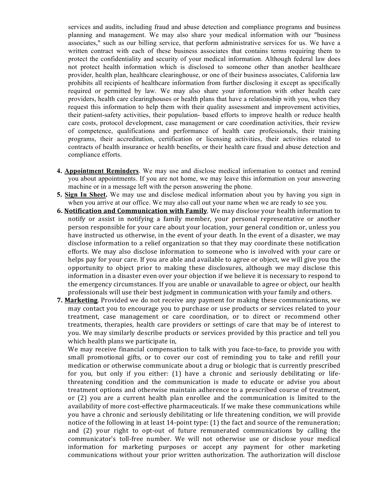services and audits, including fraud and abuse detection and compliance programs and business planning and management. We may also share your medical information with our "business associates," such as our billing service, that perform administrative services for us. We have a written contract with each of these business associates that contains terms requiring them to protect the confidentiality and security of your medical information. Although federal law does not protect health information which is disclosed to someone other than another healthcare provider, health plan, healthcare clearinghouse, or one of their business associates, California law prohibits all recipients of healthcare information from further disclosing it except as specifically required or permitted by law. We may also share your information with other health care providers, health care clearinghouses or health plans that have a relationship with you, when they request this information to help them with their quality assessment and improvement activities, their patient-safety activities, their population- based efforts to improve health or reduce health care costs, protocol development, case management or care coordination activities, their review of competence, qualifications and performance of health care professionals, their training programs, their accreditation, certification or licensing activities, their activities related to contracts of health insurance or health benefits, or their health care fraud and abuse detection and compliance efforts.

- **4. Appointment Reminders**. We may use and disclose medical information to contact and remind you about appointments. If you are not home, we may leave this information on your answering machine or in a message left with the person answering the phone.
- **5. Sign In Sheet.** We may use and disclose medical information about you by having you sign in when you arrive at our office. We may also call out your name when we are ready to see you.
- **6. Notification and Communication with Family**. We may disclose your health information to notify or assist in notifying a family member, your personal representative or another person responsible for your care about your location, your general condition or, unless you have instructed us otherwise, in the event of your death. In the event of a disaster, we may disclose information to a relief organization so that they may coordinate these notification efforts. We may also disclose information to someone who is involved with your care or helps pay for your care. If you are able and available to agree or object, we will give you the opportunity to object prior to making these disclosures, although we may disclose this information in a disaster even over your objection if we believe it is necessary to respond to the emergency circumstances. If you are unable or unavailable to agree or object, our health professionals will use their best judgment in communication with your family and others.
- **7. Marketing**. Provided we do not receive any payment for making these communications, we may contact you to encourage you to purchase or use products or services related to your treatment, case management or care coordination, or to direct or recommend other treatments, therapies, health care providers or settings of care that may be of interest to you. We may similarly describe products or services provided by this practice and tell you which health plans we participate in,

We may receive financial compensation to talk with you face-to-face, to provide you with small promotional gifts, or to cover our cost of reminding you to take and refill your medication or otherwise communicate about a drug or biologic that is currently prescribed for you, but only if you either: (1) have a chronic and seriously debilitating or lifethreatening condition and the communication is made to educate or advise you about treatment options and otherwise maintain adherence to a prescribed course of treatment, or  $(2)$  you are a current health plan enrollee and the communication is limited to the availability of more cost-effective pharmaceuticals. If we make these communications while you have a chronic and seriously debilitating or life threatening condition, we will provide notice of the following in at least  $14$ -point type: (1) the fact and source of the remuneration; and (2) your right to opt-out of future remunerated communications by calling the communicator's toll-free number. We will not otherwise use or disclose your medical information for marketing purposes or accept any payment for other marketing communications without your prior written authorization. The authorization will disclose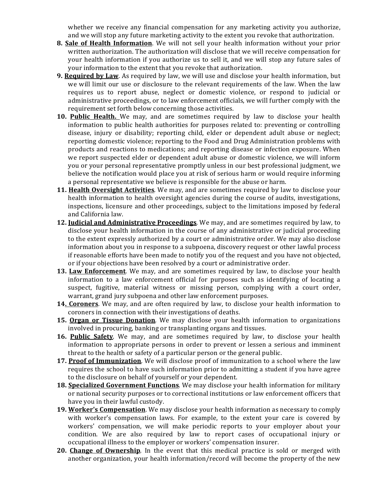whether we receive any financial compensation for any marketing activity you authorize, and we will stop any future marketing activity to the extent you revoke that authorization.

- **8. Sale of Health Information**. We will not sell your health information without your prior written authorization. The authorization will disclose that we will receive compensation for your health information if you authorize us to sell it, and we will stop any future sales of your information to the extent that you revoke that authorization.
- **9. Required by Law**. As required by law, we will use and disclose your health information, but we will limit our use or disclosure to the relevant requirements of the law. When the law requires us to report abuse, neglect or domestic violence, or respond to judicial or administrative proceedings, or to law enforcement officials, we will further comply with the requirement set forth below concerning those activities.
- **10. Public Health.** We may, and are sometimes required by law to disclose your health information to public health authorities for purposes related to: preventing or controlling disease, injury or disability; reporting child, elder or dependent adult abuse or neglect; reporting domestic violence; reporting to the Food and Drug Administration problems with products and reactions to medications; and reporting disease or infection exposure. When we report suspected elder or dependent adult abuse or domestic violence, we will inform you or your personal representative promptly unless in our best professional judgment, we believe the notification would place you at risk of serious harm or would require informing a personal representative we believe is responsible for the abuse or harm.
- **11. Health Oversight Activities**. We may, and are sometimes required by law to disclose your health information to health oversight agencies during the course of audits, investigations, inspections, licensure and other proceedings, subject to the limitations imposed by federal and California law.
- **12. Judicial and Administrative Proceedings**. We may, and are sometimes required by law, to disclose your health information in the course of any administrative or judicial proceeding to the extent expressly authorized by a court or administrative order. We may also disclose information about you in response to a subpoena, discovery request or other lawful process if reasonable efforts have been made to notify you of the request and you have not objected, or if your objections have been resolved by a court or administrative order.
- **13. Law Enforcement**. We may, and are sometimes required by law, to disclose your health information to a law enforcement official for purposes such as identifying of locating a suspect, fugitive, material witness or missing person, complying with a court order, warrant, grand jury subpoena and other law enforcement purposes.
- **14. Coroners**. We may, and are often required by law, to disclose your health information to coroners in connection with their investigations of deaths.
- **15. Organ or Tissue Donation**. We may disclose your health information to organizations involved in procuring, banking or transplanting organs and tissues.
- **16. Public Safety**. We may, and are sometimes required by law, to disclose your health information to appropriate persons in order to prevent or lessen a serious and imminent threat to the health or safety of a particular person or the general public.
- 17. Proof of Immunization. We will disclose proof of immunization to a school where the law requires the school to have such information prior to admitting a student if you have agree to the disclosure on behalf of yourself or your dependent.
- 18. Specialized Government Functions. We may disclose your health information for military or national security purposes or to correctional institutions or law enforcement officers that have you in their lawful custody.
- 19. Worker's Compensation. We may disclose your health information as necessary to comply with worker's compensation laws. For example, to the extent your care is covered by workers' compensation, we will make periodic reports to your employer about your condition. We are also required by law to report cases of occupational injury or occupational illness to the employer or workers' compensation insurer.
- **20. Change of Ownership**. In the event that this medical practice is sold or merged with another organization, your health information/record will become the property of the new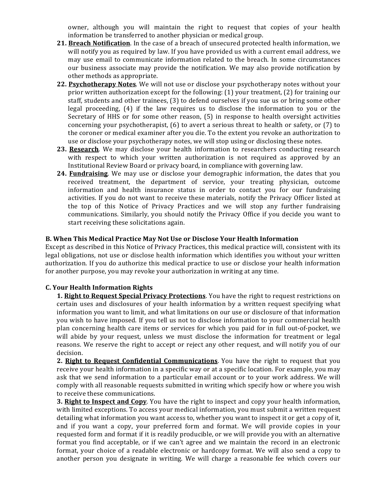owner, although you will maintain the right to request that copies of your health information be transferred to another physician or medical group.

- **21. Breach Notification**. In the case of a breach of unsecured protected health information, we will notify you as required by law. If you have provided us with a current email address, we may use email to communicate information related to the breach. In some circumstances our business associate may provide the notification. We may also provide notification by other methods as appropriate.
- **22. Psychotherapy Notes**. We will not use or disclose your psychotherapy notes without your prior written authorization except for the following:  $(1)$  your treatment,  $(2)$  for training our staff, students and other trainees, (3) to defend ourselves if you sue us or bring some other legal proceeding,  $(4)$  if the law requires us to disclose the information to you or the Secretary of HHS or for some other reason, (5) in response to health oversight activities concerning your psychotherapist,  $(6)$  to avert a serious threat to health or safety, or (7) to the coroner or medical examiner after you die. To the extent you revoke an authorization to use or disclose your psychotherapy notes, we will stop using or disclosing these notes.
- 23. Research. We may disclose your health information to researchers conducting research with respect to which your written authorization is not required as approved by an Institutional Review Board or privacy board, in compliance with governing law.
- 24. **Fundraising**. We may use or disclose your demographic information, the dates that you received treatment, the department of service, your treating physician, outcome information and health insurance status in order to contact you for our fundraising activities. If you do not want to receive these materials, notify the Privacy Officer listed at the top of this Notice of Privacy Practices and we will stop any further fundraising communications. Similarly, you should notify the Privacy Office if you decide you want to start receiving these solicitations again.

#### **B.+When+This+Medical+Practice+May+Not+Use+or+Disclose+Your+Health+Information**

Except as described in this Notice of Privacy Practices, this medical practice will, consistent with its legal obligations, not use or disclose health information which identifies you without your written authorization. If you do authorize this medical practice to use or disclose your health information for another purpose, you may revoke your authorization in writing at any time.

## **C. Your Health Information Rights**

**1. Right to Request Special Privacy Protections**. You have the right to request restrictions on certain uses and disclosures of your health information by a written request specifying what information you want to limit, and what limitations on our use or disclosure of that information you wish to have imposed. If you tell us not to disclose information to your commercial health plan concerning health care items or services for which you paid for in full out-of-pocket, we will abide by your request, unless we must disclose the information for treatment or legal reasons. We reserve the right to accept or reject any other request, and will notify you of our decision.

2. Right to Request Confidential Communications. You have the right to request that you receive your health information in a specific way or at a specific location. For example, you may ask that we send information to a particular email account or to your work address. We will comply with all reasonable requests submitted in writing which specify how or where you wish to receive these communications.

**3. Right to Inspect and Copy**. You have the right to inspect and copy your health information, with limited exceptions. To access your medical information, you must submit a written request detailing what information you want access to, whether you want to inspect it or get a copy of it, and if you want a copy, your preferred form and format. We will provide copies in your requested form and format if it is readily producible, or we will provide you with an alternative format you find acceptable, or if we can't agree and we maintain the record in an electronic format, your choice of a readable electronic or hardcopy format. We will also send a copy to another person you designate in writing. We will charge a reasonable fee which covers our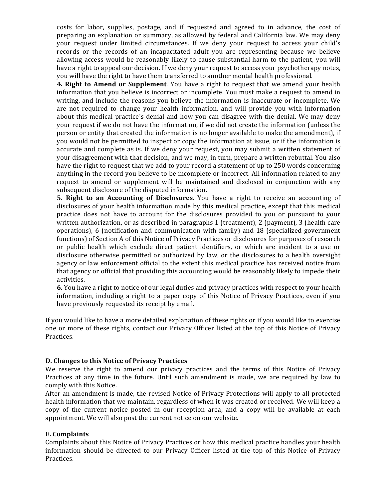costs for labor, supplies, postage, and if requested and agreed to in advance, the cost of preparing an explanation or summary, as allowed by federal and California law. We may deny your request under limited circumstances. If we deny your request to access your child's records or the records of an incapacitated adult you are representing because we believe allowing access would be reasonably likely to cause substantial harm to the patient, you will have a right to appeal our decision. If we deny your request to access your psychotherapy notes, you will have the right to have them transferred to another mental health professional.

**4. Right to Amend or Supplement**. You have a right to request that we amend your health information that you believe is incorrect or incomplete. You must make a request to amend in writing, and include the reasons you believe the information is inaccurate or incomplete. We are not required to change your health information, and will provide you with information about this medical practice's denial and how you can disagree with the denial. We may deny your request if we do not have the information, if we did not create the information (unless the person or entity that created the information is no longer available to make the amendment), if you would not be permitted to inspect or copy the information at issue, or if the information is accurate and complete as is. If we deny your request, you may submit a written statement of your disagreement with that decision, and we may, in turn, prepare a written rebuttal. You also have the right to request that we add to your record a statement of up to 250 words concerning anything in the record you believe to be incomplete or incorrect. All information related to any request to amend or supplement will be maintained and disclosed in conjunction with any subsequent disclosure of the disputed information.

**5. Right to an Accounting of Disclosures**. You have a right to receive an accounting of disclosures of your health information made by this medical practice, except that this medical practice does not have to account for the disclosures provided to you or pursuant to your written authorization, or as described in paragraphs 1 (treatment), 2 (payment), 3 (health care operations), 6 (notification and communication with family) and 18 (specialized government functions) of Section A of this Notice of Privacy Practices or disclosures for purposes of research or public health which exclude direct patient identifiers, or which are incident to a use or disclosure otherwise permitted or authorized by law, or the disclosures to a health oversight agency or law enforcement official to the extent this medical practice has received notice from that agency or official that providing this accounting would be reasonably likely to impede their activities.

**6.** You have a right to notice of our legal duties and privacy practices with respect to your health information, including a right to a paper copy of this Notice of Privacy Practices, even if you have previously requested its receipt by email.

If you would like to have a more detailed explanation of these rights or if you would like to exercise one or more of these rights, contact our Privacy Officer listed at the top of this Notice of Privacy Practices.

## **D.** Changes to this Notice of Privacy Practices

We reserve the right to amend our privacy practices and the terms of this Notice of Privacy Practices at any time in the future. Until such amendment is made, we are required by law to comply with this Notice.

After an amendment is made, the revised Notice of Privacy Protections will apply to all protected health information that we maintain, regardless of when it was created or received. We will keep a copy of the current notice posted in our reception area, and a copy will be available at each appointment. We will also post the current notice on our website.

# **E.** Complaints

Complaints about this Notice of Privacy Practices or how this medical practice handles your health information should be directed to our Privacy Officer listed at the top of this Notice of Privacy Practices.